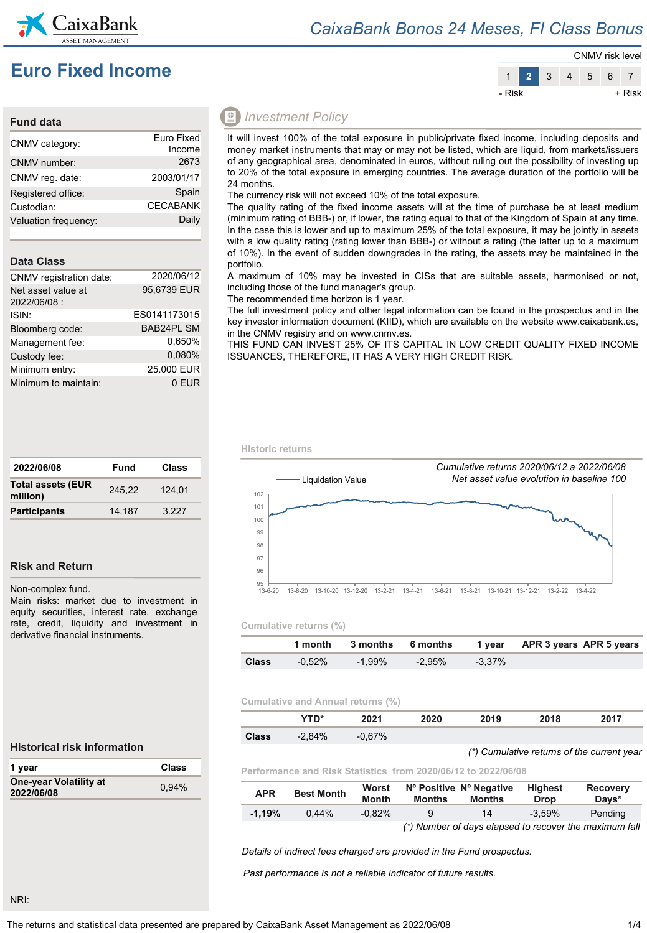

### *CaixaBank Bonos 24 Meses, FI Class Bonus*

## **Euro Fixed Income**



#### **Fund data**

| CNMV category:       | Euro Fixed      |
|----------------------|-----------------|
|                      | Income          |
| CNMV number:         | 2673            |
| CNMV reg. date:      | 2003/01/17      |
| Registered office:   | Spain           |
| Custodian:           | <b>CECABANK</b> |
| Valuation frequency: | Daily           |
|                      |                 |

#### **Data Class**

| CNMV registration date:           | 2020/06/12        |
|-----------------------------------|-------------------|
| Net asset value at<br>2022/06/08: | 95,6739 EUR       |
| ISIN:                             | ES0141173015      |
| Bloomberg code:                   | <b>BAB24PL SM</b> |
| Management fee:                   | 0.650%            |
| Custody fee:                      | 0.080%            |
| Minimum entry:                    | 25,000 EUR        |
| Minimum to maintain:              | 0 EUR             |

| 2022/06/08                           | Fund   | Class   |  |
|--------------------------------------|--------|---------|--|
| <b>Total assets (EUR</b><br>million) | 245.22 | 124.01  |  |
| <b>Participants</b>                  | 14 187 | 3 2 2 7 |  |

#### **Risk and Return**

Non-complex fund.

Main risks: market due to investment in equity securities, interest rate, exchange rate, credit, liquidity and investment in derivative financial instruments.

### *Investment Policy*

It will invest 100% of the total exposure in public/private fixed income, including deposits and money market instruments that may or may not be listed, which are liquid, from markets/issuers of any geographical area, denominated in euros, without ruling out the possibility of investing up to 20% of the total exposure in emerging countries. The average duration of the portfolio will be 24 months.

The currency risk will not exceed 10% of the total exposure.

The quality rating of the fixed income assets will at the time of purchase be at least medium (minimum rating of BBB-) or, if lower, the rating equal to that of the Kingdom of Spain at any time. In the case this is lower and up to maximum 25% of the total exposure, it may be jointly in assets with a low quality rating (rating lower than BBB-) or without a rating (the latter up to a maximum of 10%). In the event of sudden downgrades in the rating, the assets may be maintained in the portfolio.

A maximum of 10% may be invested in CISs that are suitable assets, harmonised or not, including those of the fund manager's group.

The recommended time horizon is 1 year.

The full investment policy and other legal information can be found in the prospectus and in the key investor information document (KIID), which are available on the website www.caixabank.es, in the CNMV registry and on www.cnmv.es.

THIS FUND CAN INVEST 25% OF ITS CAPITAL IN LOW CREDIT QUALITY FIXED INCOME ISSUANCES, THEREFORE, IT HAS A VERY HIGH CREDIT RISK.

#### **Historic returns**



#### **Cumulative returns (%)**

|              |           |           |        |           | 1 month 3 months 6 months 1 year APR 3 years APR 5 years |
|--------------|-----------|-----------|--------|-----------|----------------------------------------------------------|
| <b>Class</b> | $-0.52\%$ | $-1.99\%$ | -2.95% | $-3.37\%$ |                                                          |

#### **Cumulative and Annual returns (%)**

|       | $T\mathbf{T} \mathbf{D}^*$ | 2024                 | 2020 | 2019 | 2018 | 2017 |  |
|-------|----------------------------|----------------------|------|------|------|------|--|
| :laee | $-2.84%$                   | $-0,67%$<br>$-U, 0.$ |      |      |      |      |  |

#### **Historical risk information**

| 1 year                               | Class |
|--------------------------------------|-------|
| One-year Volatility at<br>2022/06/08 | 0.94% |

**Performance and Risk Statistics from 2020/06/12 to 2022/06/08**

| <b>APR</b> | <b>Best Month</b> | Worst<br><b>Month</b> | <b>Months</b> | Nº Positive Nº Negative<br>Months | Highest<br><b>Drop</b> | <b>Recovery</b><br>Davs*                               |
|------------|-------------------|-----------------------|---------------|-----------------------------------|------------------------|--------------------------------------------------------|
| $-1.19%$   | 0.44%             | $-0.82%$              | 9             | 14                                | $-3.59%$               | Pending                                                |
|            |                   |                       |               |                                   |                        | (*) Number of days elapsed to recover the maximum fall |

*Details of indirect fees charged are provided in the Fund prospectus.*

*Past performance is not a reliable indicator of future results.*

#### NRI:

*(\*) Cumulative returns of the current year*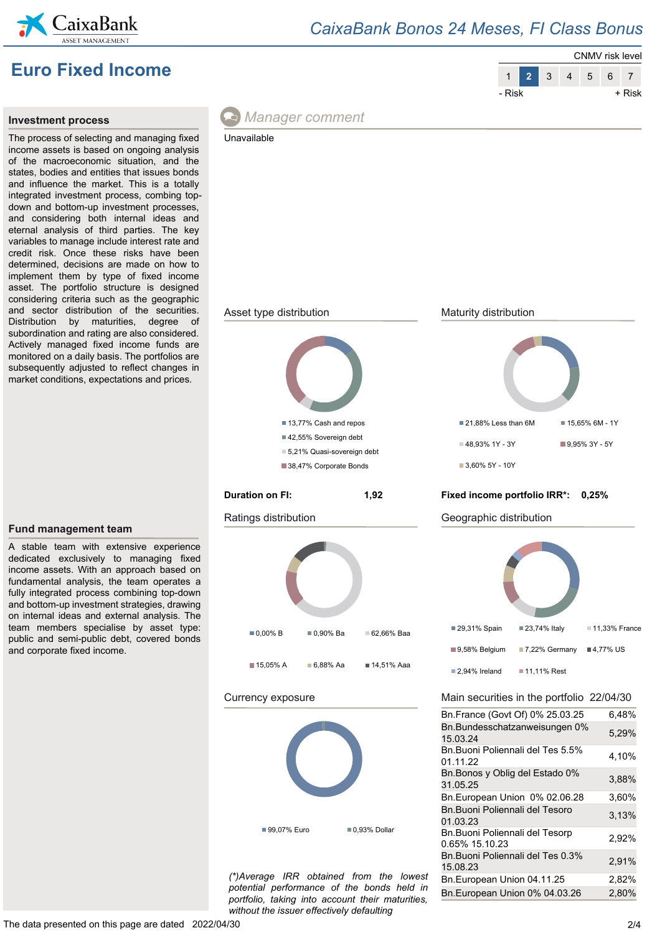

### *CaixaBank Bonos 24 Meses, FI Class Bonus*

# **Euro Fixed Income**



#### **Investment process**

The process of selecting and managing fixed income assets is based on ongoing analysis of the macroeconomic situation, and the states, bodies and entities that issues bonds and influence the market. This is a totally integrated investment process, combing topdown and bottom-up investment processes, and considering both internal ideas and eternal analysis of third parties. The key variables to manage include interest rate and credit risk. Once these risks have been determined, decisions are made on how to implement them by type of fixed income asset. The portfolio structure is designed considering criteria such as the geographic and sector distribution of the securities. Distribution by maturities, degree of subordination and rating are also considered. Actively managed fixed income funds are monitored on a daily basis. The portfolios are subsequently adjusted to reflect changes in market conditions, expectations and prices.

**Fund management team**



### *Manager comment*





*(\*)Average IRR obtained from the lowest potential performance of the bonds held in portfolio, taking into account their maturities, without the issuer effectively defaulting*

Bn.Buoni Poliennali del Tes 0.3% 15.08.23 2,91% Bn.European Union 04.11.25 2,82% Bn.European Union 0% 04.03.26 2,80%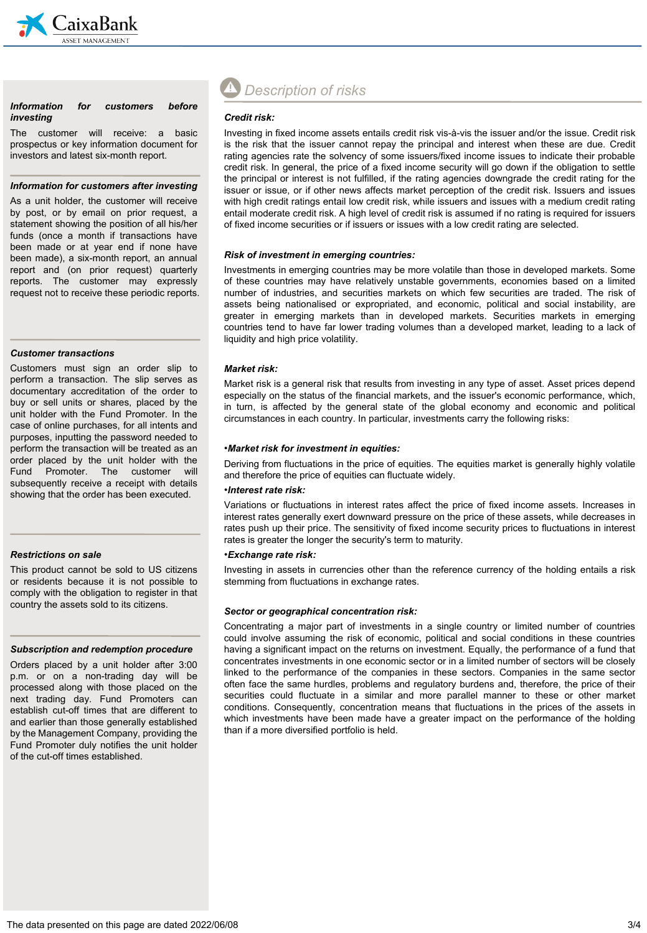

#### *Information for customers before investing*

The customer will receive: a basic prospectus or key information document for investors and latest six-month report.

#### *Information for customers after investing*

As a unit holder, the customer will receive by post, or by email on prior request, a statement showing the position of all his/her funds (once a month if transactions have been made or at year end if none have been made), a six-month report, an annual report and (on prior request) quarterly reports. The customer may expressly request not to receive these periodic reports.

#### *Customer transactions*

Customers must sign an order slip to perform a transaction. The slip serves as documentary accreditation of the order to buy or sell units or shares, placed by the unit holder with the Fund Promoter. In the case of online purchases, for all intents and purposes, inputting the password needed to perform the transaction will be treated as an order placed by the unit holder with the Fund Promoter. The customer will subsequently receive a receipt with details showing that the order has been executed.

#### *Restrictions on sale*

This product cannot be sold to US citizens or residents because it is not possible to comply with the obligation to register in that country the assets sold to its citizens.

#### *Subscription and redemption procedure*

Orders placed by a unit holder after 3:00 p.m. or on a non-trading day will be processed along with those placed on the next trading day. Fund Promoters can establish cut-off times that are different to and earlier than those generally established by the Management Company, providing the Fund Promoter duly notifies the unit holder of the cut-off times established.

# *Description of risks*

#### *Credit risk:*

Investing in fixed income assets entails credit risk vis-à-vis the issuer and/or the issue. Credit risk is the risk that the issuer cannot repay the principal and interest when these are due. Credit rating agencies rate the solvency of some issuers/fixed income issues to indicate their probable credit risk. In general, the price of a fixed income security will go down if the obligation to settle the principal or interest is not fulfilled, if the rating agencies downgrade the credit rating for the issuer or issue, or if other news affects market perception of the credit risk. Issuers and issues with high credit ratings entail low credit risk, while issuers and issues with a medium credit rating entail moderate credit risk. A high level of credit risk is assumed if no rating is required for issuers of fixed income securities or if issuers or issues with a low credit rating are selected.

#### *Risk of investment in emerging countries:*

Investments in emerging countries may be more volatile than those in developed markets. Some of these countries may have relatively unstable governments, economies based on a limited number of industries, and securities markets on which few securities are traded. The risk of assets being nationalised or expropriated, and economic, political and social instability, are greater in emerging markets than in developed markets. Securities markets in emerging countries tend to have far lower trading volumes than a developed market, leading to a lack of liquidity and high price volatility.

#### *Market risk:*

Market risk is a general risk that results from investing in any type of asset. Asset prices depend especially on the status of the financial markets, and the issuer's economic performance, which, in turn, is affected by the general state of the global economy and economic and political circumstances in each country. In particular, investments carry the following risks:

#### •*Market risk for investment in equities:*

Deriving from fluctuations in the price of equities. The equities market is generally highly volatile and therefore the price of equities can fluctuate widely.

#### •*Interest rate risk:*

Variations or fluctuations in interest rates affect the price of fixed income assets. Increases in interest rates generally exert downward pressure on the price of these assets, while decreases in rates push up their price. The sensitivity of fixed income security prices to fluctuations in interest rates is greater the longer the security's term to maturity.

#### •*Exchange rate risk:*

Investing in assets in currencies other than the reference currency of the holding entails a risk stemming from fluctuations in exchange rates.

#### *Sector or geographical concentration risk:*

Concentrating a major part of investments in a single country or limited number of countries could involve assuming the risk of economic, political and social conditions in these countries having a significant impact on the returns on investment. Equally, the performance of a fund that concentrates investments in one economic sector or in a limited number of sectors will be closely linked to the performance of the companies in these sectors. Companies in the same sector often face the same hurdles, problems and regulatory burdens and, therefore, the price of their securities could fluctuate in a similar and more parallel manner to these or other market conditions. Consequently, concentration means that fluctuations in the prices of the assets in which investments have been made have a greater impact on the performance of the holding than if a more diversified portfolio is held.